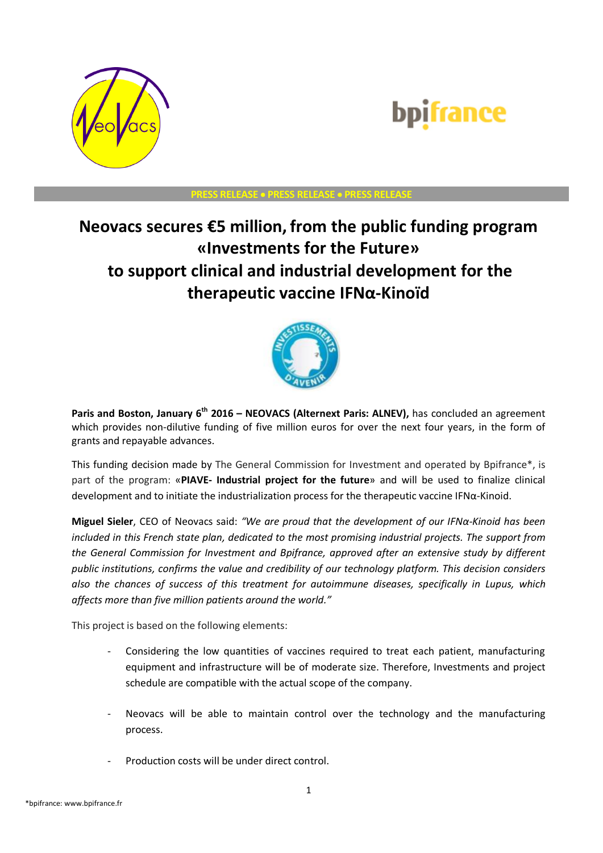

## bpifrance

## **PRESS RELEASE PRESS RELEASE PRESS RELEASE**

## **Neovacs secures €5 million, from the public funding program «Investments for the Future» to support clinical and industrial development for the therapeutic vaccine IFNα-Kinoïd**



**Paris and Boston, January 6th 2016 – NEOVACS (Alternext Paris: ALNEV),** has concluded an agreement which provides non-dilutive funding of five million euros for over the next four years, in the form of grants and repayable advances.

This funding decision made by The General Commission for Investment and operated by Bpifrance\*, is part of the program: «**PIAVE- Industrial project for the future**» and will be used to finalize clinical development and to initiate the industrialization process for the therapeutic vaccine IFNα-Kinoid.

**Miguel Sieler**, CEO of Neovacs said: *"We are proud that the development of our IFNα-Kinoid has been included in this French state plan, dedicated to the most promising industrial projects. The support from the General Commission for Investment and Bpifrance, approved after an extensive study by different public institutions, confirms the value and credibility of our technology platform. This decision considers also the chances of success of this treatment for autoimmune diseases, specifically in Lupus, which affects more than five million patients around the world."*

This project is based on the following elements:

- Considering the low quantities of vaccines required to treat each patient, manufacturing equipment and infrastructure will be of moderate size. Therefore, Investments and project schedule are compatible with the actual scope of the company.
- Neovacs will be able to maintain control over the technology and the manufacturing process.
- Production costs will be under direct control.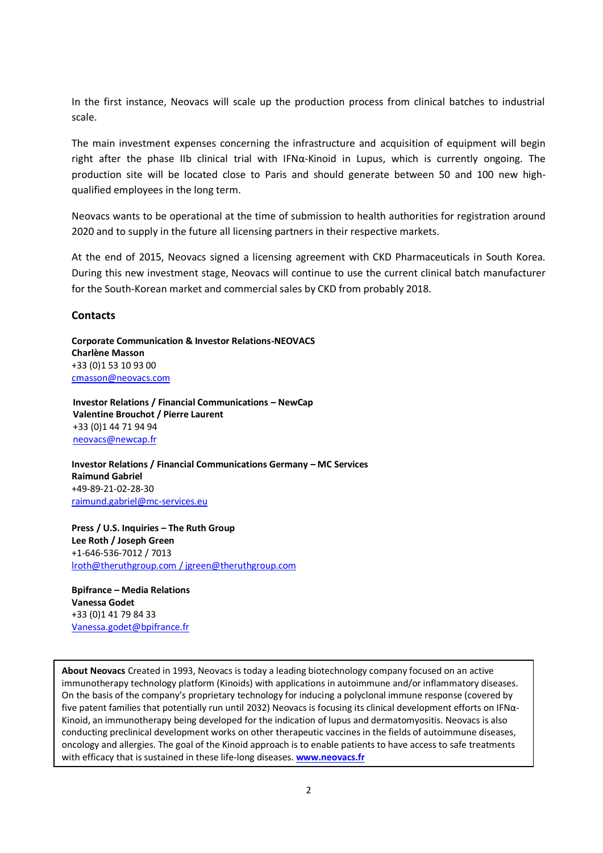In the first instance, Neovacs will scale up the production process from clinical batches to industrial scale.

The main investment expenses concerning the infrastructure and acquisition of equipment will begin right after the phase IIb clinical trial with IFN $\alpha$ -Kinoid in Lupus, which is currently ongoing. The production site will be located close to Paris and should generate between 50 and 100 new highqualified employees in the long term.

Neovacs wants to be operational at the time of submission to health authorities for registration around 2020 and to supply in the future all licensing partners in their respective markets.

At the end of 2015, Neovacs signed a licensing agreement with CKD Pharmaceuticals in South Korea. During this new investment stage, Neovacs will continue to use the current clinical batch manufacturer for the South-Korean market and commercial sales by CKD from probably 2018.

## **Contacts**

**Corporate Communication & Investor Relations-NEOVACS Charlène Masson** +33 (0)1 53 10 93 00 [cmasson@neovacs.com](mailto:ntrepo@neovacs.com)

**Investor Relations / Financial Communications – NewCap Valentine Brouchot / Pierre Laurent** +33 (0)1 44 71 94 94 [neovacs@newcap.fr](mailto:theradiag@newcap.fr)

**Investor Relations / Financial Communications Germany – MC Services Raimund Gabriel** +49-89-21-02-28-30 [raimund.gabriel@mc-services.eu](mailto:raimund.gabriel@mc-services.eu)

**Press / U.S. Inquiries – The Ruth Group Lee Roth / Joseph Green** +1-646-536-7012 / 7013 [lroth@theruthgroup.com](mailto:msollid@theruthgroup.com) / jgreen@theruthgroup.com

**Bpifrance – Media Relations Vanessa Godet** +33 (0)1 41 79 84 33 [Vanessa.godet@bpifrance.fr](mailto:Vanessa.godet@bpifrance.fr)

**About Neovacs** Created in 1993, Neovacs is today a leading biotechnology company focused on an active immunotherapy technology platform (Kinoids) with applications in autoimmune and/or inflammatory diseases. On the basis of the company's proprietary technology for inducing a polyclonal immune response (covered by five patent families that potentially run until 2032) Neovacs is focusing its clinical development efforts on IFNα-Kinoid, an immunotherapy being developed for the indication of lupus and dermatomyositis. Neovacs is also conducting preclinical development works on other therapeutic vaccines in the fields of autoimmune diseases, oncology and allergies. The goal of the Kinoid approach is to enable patients to have access to safe treatments with efficacy that is sustained in these life-long diseases. **[www.neovacs.fr](http://www.neovacs.fr/)**